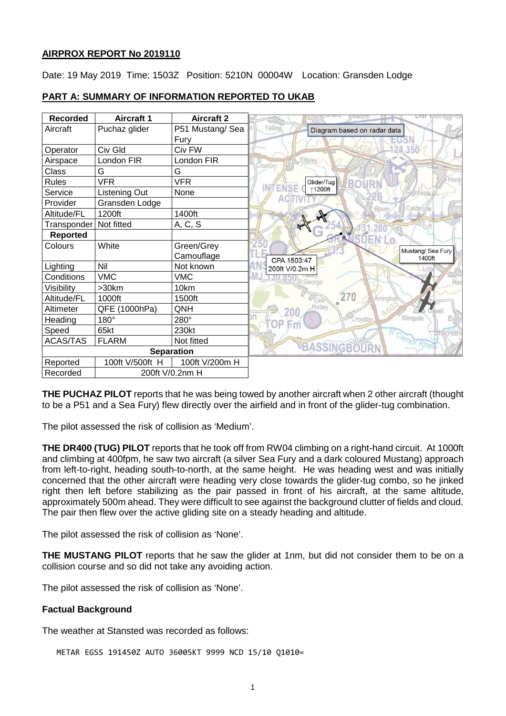#### **AIRPROX REPORT No 2019110**

Date: 19 May 2019 Time: 1503Z Position: 5210N 00004W Location: Gransden Lodge

### **PART A: SUMMARY OF INFORMATION REPORTED TO UKAB**

| <b>Recorded</b>             | <b>Aircraft 1</b> | <b>Aircraft 2</b> | Da.                                    |
|-----------------------------|-------------------|-------------------|----------------------------------------|
| Aircraft                    | Puchaz glider     | P51 Mustang/ Sea  | Yelling<br>Diagram based on radar data |
|                             |                   | Fury              |                                        |
| Operator                    | Civ Gld           | Civ FW            | 124.350                                |
| Airspace                    | London FIR        | London FIR        | Eltisley<br>Croxton                    |
| Class                       | G                 | G                 |                                        |
| <b>Rules</b>                | <b>VFR</b>        | <b>VFR</b>        | Hard<br>Glider/Tug<br><b>BON</b>       |
| Service                     | Listening Out     | None              | <b>INTENSE</b><br>↑1200ft              |
| Provider                    | Gransden Lodge    |                   | Caldecote<br>Bourr                     |
| Altitude/FL                 | 1200ft            | 1400ft            |                                        |
| Transponder                 | Not fitted        | A, C, S           | 280                                    |
| <b>Reported</b>             |                   |                   | <b>SDEN-LO</b>                         |
| Colours                     | White             | Green/Grey        | Mustang/Sea Fury                       |
|                             |                   | Camouflage        | 1400ft<br>CPA 1503:47                  |
| Lighting                    | Nil               | Not known         | 200ft V/0.2m H                         |
| Conditions                  | <b>VMC</b>        | <b>VMC</b>        | George                                 |
| Visibility                  | >30km             | 10km              |                                        |
| Altitude/FL                 | 1000ft            | 1500ft            | 270<br>Arringto<br>East                |
| Altimeter                   | QFE (1000hPa)     | QNH               | Hatley                                 |
| Heading                     | $180^\circ$       | 280°              | Wimpole<br>roydor                      |
| Speed                       | 65kt              | 230kt             |                                        |
| <b>ACAS/TAS</b>             | <b>FLARM</b>      | Not fitted        | Rhe                                    |
| <b>Separation</b>           |                   |                   | <b>VBASSINGBOURN</b>                   |
| Reported                    | 100ft V/500ft H   | 100ft V/200m H    |                                        |
| 200ft V/0.2nm H<br>Recorded |                   |                   |                                        |

**THE PUCHAZ PILOT** reports that he was being towed by another aircraft when 2 other aircraft (thought to be a P51 and a Sea Fury) flew directly over the airfield and in front of the glider-tug combination.

The pilot assessed the risk of collision as 'Medium'.

**THE DR400 (TUG) PILOT** reports that he took off from RW04 climbing on a right-hand circuit. At 1000ft and climbing at 400fpm, he saw two aircraft (a silver Sea Fury and a dark coloured Mustang) approach from left-to-right, heading south-to-north, at the same height. He was heading west and was initially concerned that the other aircraft were heading very close towards the glider-tug combo, so he jinked right then left before stabilizing as the pair passed in front of his aircraft, at the same altitude, approximately 500m ahead. They were difficult to see against the background clutter of fields and cloud. The pair then flew over the active gliding site on a steady heading and altitude.

The pilot assessed the risk of collision as 'None'.

**THE MUSTANG PILOT** reports that he saw the glider at 1nm, but did not consider them to be on a collision course and so did not take any avoiding action.

The pilot assessed the risk of collision as 'None'.

#### **Factual Background**

The weather at Stansted was recorded as follows:

METAR EGSS 191450Z AUTO 36005KT 9999 NCD 15/10 Q1010=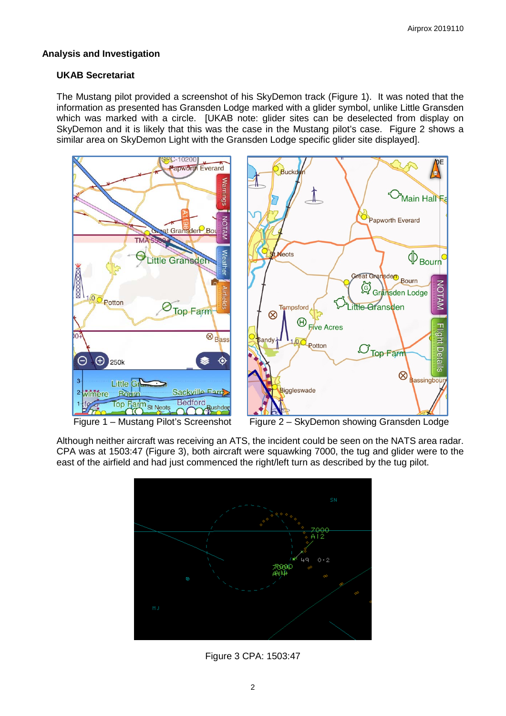# **Analysis and Investigation**

# **UKAB Secretariat**

The Mustang pilot provided a screenshot of his SkyDemon track (Figure 1). It was noted that the information as presented has Gransden Lodge marked with a glider symbol, unlike Little Gransden which was marked with a circle. [UKAB note: glider sites can be deselected from display on SkyDemon and it is likely that this was the case in the Mustang pilot's case. Figure 2 shows a similar area on SkyDemon Light with the Gransden Lodge specific glider site displayed].



Although neither aircraft was receiving an ATS, the incident could be seen on the NATS area radar. CPA was at 1503:47 (Figure 3), both aircraft were squawking 7000, the tug and glider were to the east of the airfield and had just commenced the right/left turn as described by the tug pilot.



Figure 3 CPA: 1503:47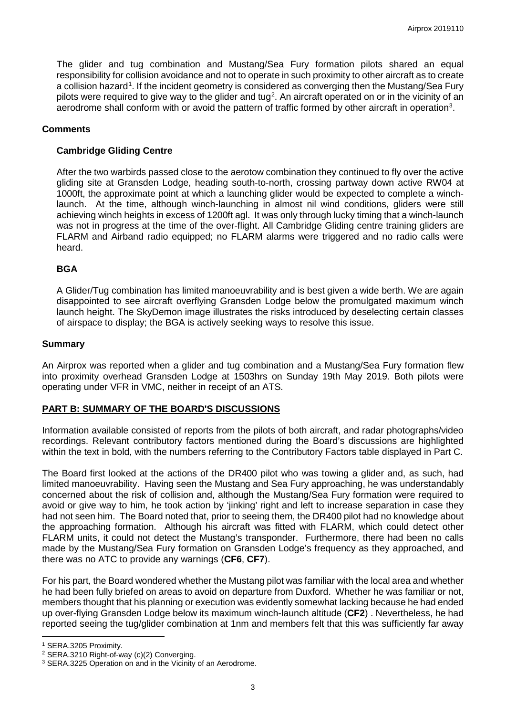The glider and tug combination and Mustang/Sea Fury formation pilots shared an equal responsibility for collision avoidance and not to operate in such proximity to other aircraft as to create a collision hazard<sup>[1](#page-2-0)</sup>. If the incident geometry is considered as converging then the Mustang/Sea Fury pilots were required to give way to the glider and tug<sup>[2](#page-2-1)</sup>. An aircraft operated on or in the vicinity of an aerodrome shall conform with or avoid the pattern of traffic formed by other aircraft in operation<sup>[3](#page-2-2)</sup>.

# **Comments**

# **Cambridge Gliding Centre**

After the two warbirds passed close to the aerotow combination they continued to fly over the active gliding site at Gransden Lodge, heading south-to-north, crossing partway down active RW04 at 1000ft, the approximate point at which a launching glider would be expected to complete a winchlaunch. At the time, although winch-launching in almost nil wind conditions, gliders were still achieving winch heights in excess of 1200ft agl. It was only through lucky timing that a winch-launch was not in progress at the time of the over-flight. All Cambridge Gliding centre training gliders are FLARM and Airband radio equipped; no FLARM alarms were triggered and no radio calls were heard.

### **BGA**

A Glider/Tug combination has limited manoeuvrability and is best given a wide berth. We are again disappointed to see aircraft overflying Gransden Lodge below the promulgated maximum winch launch height. The SkyDemon image illustrates the risks introduced by deselecting certain classes of airspace to display; the BGA is actively seeking ways to resolve this issue.

### **Summary**

An Airprox was reported when a glider and tug combination and a Mustang/Sea Fury formation flew into proximity overhead Gransden Lodge at 1503hrs on Sunday 19th May 2019. Both pilots were operating under VFR in VMC, neither in receipt of an ATS.

# **PART B: SUMMARY OF THE BOARD'S DISCUSSIONS**

Information available consisted of reports from the pilots of both aircraft, and radar photographs/video recordings. Relevant contributory factors mentioned during the Board's discussions are highlighted within the text in bold, with the numbers referring to the Contributory Factors table displayed in Part C.

The Board first looked at the actions of the DR400 pilot who was towing a glider and, as such, had limited manoeuvrability. Having seen the Mustang and Sea Fury approaching, he was understandably concerned about the risk of collision and, although the Mustang/Sea Fury formation were required to avoid or give way to him, he took action by 'jinking' right and left to increase separation in case they had not seen him. The Board noted that, prior to seeing them, the DR400 pilot had no knowledge about the approaching formation. Although his aircraft was fitted with FLARM, which could detect other FLARM units, it could not detect the Mustang's transponder. Furthermore, there had been no calls made by the Mustang/Sea Fury formation on Gransden Lodge's frequency as they approached, and there was no ATC to provide any warnings (**CF6**, **CF7**).

For his part, the Board wondered whether the Mustang pilot was familiar with the local area and whether he had been fully briefed on areas to avoid on departure from Duxford. Whether he was familiar or not, members thought that his planning or execution was evidently somewhat lacking because he had ended up over-flying Gransden Lodge below its maximum winch-launch altitude (**CF2**) . Nevertheless, he had reported seeing the tug/glider combination at 1nm and members felt that this was sufficiently far away

l <sup>1</sup> SERA.3205 Proximity.

<span id="page-2-1"></span><span id="page-2-0"></span><sup>2</sup> SERA.3210 Right-of-way (c)(2) Converging.

<span id="page-2-2"></span><sup>3</sup> SERA.3225 Operation on and in the Vicinity of an Aerodrome.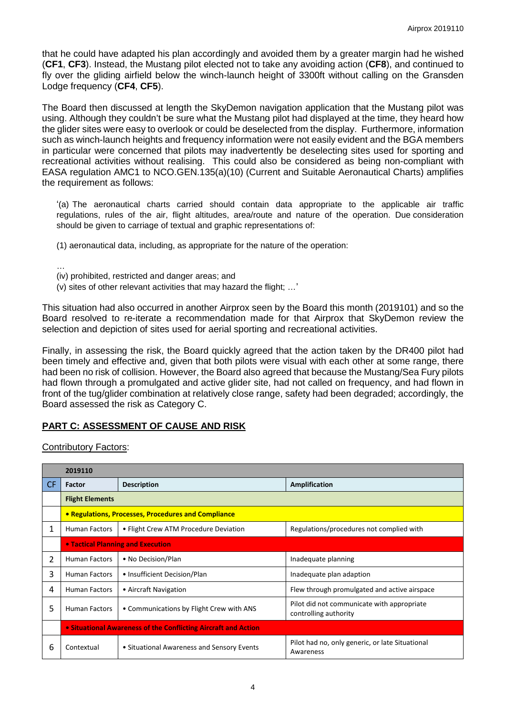that he could have adapted his plan accordingly and avoided them by a greater margin had he wished (**CF1**, **CF3**). Instead, the Mustang pilot elected not to take any avoiding action (**CF8**), and continued to fly over the gliding airfield below the winch-launch height of 3300ft without calling on the Gransden Lodge frequency (**CF4**, **CF5**).

The Board then discussed at length the SkyDemon navigation application that the Mustang pilot was using. Although they couldn't be sure what the Mustang pilot had displayed at the time, they heard how the glider sites were easy to overlook or could be deselected from the display. Furthermore, information such as winch-launch heights and frequency information were not easily evident and the BGA members in particular were concerned that pilots may inadvertently be deselecting sites used for sporting and recreational activities without realising. This could also be considered as being non-compliant with EASA regulation AMC1 to NCO.GEN.135(a)(10) (Current and Suitable Aeronautical Charts) amplifies the requirement as follows:

'(a) The aeronautical charts carried should contain data appropriate to the applicable air traffic regulations, rules of the air, flight altitudes, area/route and nature of the operation. Due consideration should be given to carriage of textual and graphic representations of:

(1) aeronautical data, including, as appropriate for the nature of the operation:

- … (iv) prohibited, restricted and danger areas; and
- (v) sites of other relevant activities that may hazard the flight; …'

This situation had also occurred in another Airprox seen by the Board this month (2019101) and so the Board resolved to re-iterate a recommendation made for that Airprox that SkyDemon review the selection and depiction of sites used for aerial sporting and recreational activities.

Finally, in assessing the risk, the Board quickly agreed that the action taken by the DR400 pilot had been timely and effective and, given that both pilots were visual with each other at some range, there had been no risk of collision. However, the Board also agreed that because the Mustang/Sea Fury pilots had flown through a promulgated and active glider site, had not called on frequency, and had flown in front of the tug/glider combination at relatively close range, safety had been degraded; accordingly, the Board assessed the risk as Category C.

### **PART C: ASSESSMENT OF CAUSE AND RISK**

Contributory Factors:

|     | 2019110                                                        |                                            |                                                                     |  |  |  |
|-----|----------------------------------------------------------------|--------------------------------------------|---------------------------------------------------------------------|--|--|--|
| CF. | <b>Factor</b>                                                  | <b>Description</b>                         | <b>Amplification</b>                                                |  |  |  |
|     | <b>Flight Elements</b>                                         |                                            |                                                                     |  |  |  |
|     | • Regulations, Processes, Procedures and Compliance            |                                            |                                                                     |  |  |  |
| 1.  | <b>Human Factors</b>                                           | • Flight Crew ATM Procedure Deviation      | Regulations/procedures not complied with                            |  |  |  |
|     | • Tactical Planning and Execution                              |                                            |                                                                     |  |  |  |
| 2   | <b>Human Factors</b>                                           | • No Decision/Plan                         | Inadequate planning                                                 |  |  |  |
| 3   | <b>Human Factors</b>                                           | • Insufficient Decision/Plan               | Inadequate plan adaption                                            |  |  |  |
| 4   | <b>Human Factors</b>                                           | • Aircraft Navigation                      | Flew through promulgated and active airspace                        |  |  |  |
| 5   | <b>Human Factors</b>                                           | • Communications by Flight Crew with ANS   | Pilot did not communicate with appropriate<br>controlling authority |  |  |  |
|     | • Situational Awareness of the Conflicting Aircraft and Action |                                            |                                                                     |  |  |  |
| 6   | Contextual                                                     | • Situational Awareness and Sensory Events | Pilot had no, only generic, or late Situational<br>Awareness        |  |  |  |